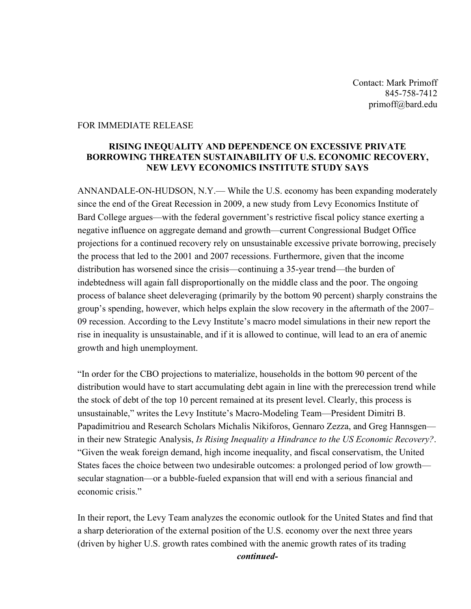Contact: Mark Primoff 845-758-7412 primoff@bard.edu

## FOR IMMEDIATE RELEASE

## **RISING INEQUALITY AND DEPENDENCE ON EXCESSIVE PRIVATE BORROWING THREATEN SUSTAINABILITY OF U.S. ECONOMIC RECOVERY, NEW LEVY ECONOMICS INSTITUTE STUDY SAYS**

ANNANDALE-ON-HUDSON, N.Y.— While the U.S. economy has been expanding moderately since the end of the Great Recession in 2009, a new study from Levy Economics Institute of Bard College argues—with the federal government's restrictive fiscal policy stance exerting a negative influence on aggregate demand and growth—current Congressional Budget Office projections for a continued recovery rely on unsustainable excessive private borrowing, precisely the process that led to the 2001 and 2007 recessions. Furthermore, given that the income distribution has worsened since the crisis—continuing a 35-year trend—the burden of indebtedness will again fall disproportionally on the middle class and the poor. The ongoing process of balance sheet deleveraging (primarily by the bottom 90 percent) sharply constrains the group's spending, however, which helps explain the slow recovery in the aftermath of the 2007– 09 recession. According to the Levy Institute's macro model simulations in their new report the rise in inequality is unsustainable, and if it is allowed to continue, will lead to an era of anemic growth and high unemployment.

"In order for the CBO projections to materialize, households in the bottom 90 percent of the distribution would have to start accumulating debt again in line with the prerecession trend while the stock of debt of the top 10 percent remained at its present level. Clearly, this process is unsustainable," writes the Levy Institute's Macro-Modeling Team—President Dimitri B. Papadimitriou and Research Scholars Michalis Nikiforos, Gennaro Zezza, and Greg Hannsgen in their new Strategic Analysis, *Is Rising Inequality a Hindrance to the US Economic Recovery?*. "Given the weak foreign demand, high income inequality, and fiscal conservatism, the United States faces the choice between two undesirable outcomes: a prolonged period of low growth secular stagnation—or a bubble-fueled expansion that will end with a serious financial and economic crisis."

In their report, the Levy Team analyzes the economic outlook for the United States and find that a sharp deterioration of the external position of the U.S. economy over the next three years (driven by higher U.S. growth rates combined with the anemic growth rates of its trading

*continued-*